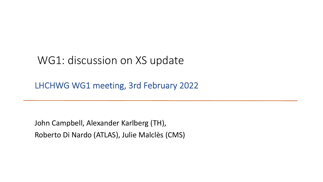## WG1: discussion on XS update

LHCHWG WG1 meeting, 3rd February 2022

John Campbell, Alexander Karlberg (TH), Roberto Di Nardo (ATLAS), Julie Malclès (CMS)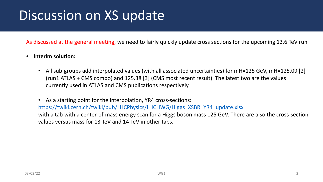## Dis[cussion on XS update](https://twiki.cern.ch/twiki/pub/LHCPhysics/LHCHWG/Higgs_XSBR_YR4_update.xlsx)

As discussed at the general meeting, we need to fairly quickly update crost

## • **Interim solution:**

All sub-groups add interpolated values (with all associated uncertainties) (run1 ATLAS + CMS combo) and  $125.38$  [3] (CMS most recent result). currently used in ATLAS and CMS publications respectively.

As a starting point for the interpolation, YR4 cross-sections: https://twiki.cern.ch/twiki/pub/LHCPhysics/LHCHWG/Higgs\_XSBR\_Y with a tab with a center-of-mass energy scan for a Higgs boson mass values versus mass for 13 TeV and 14 TeV in other tabs.